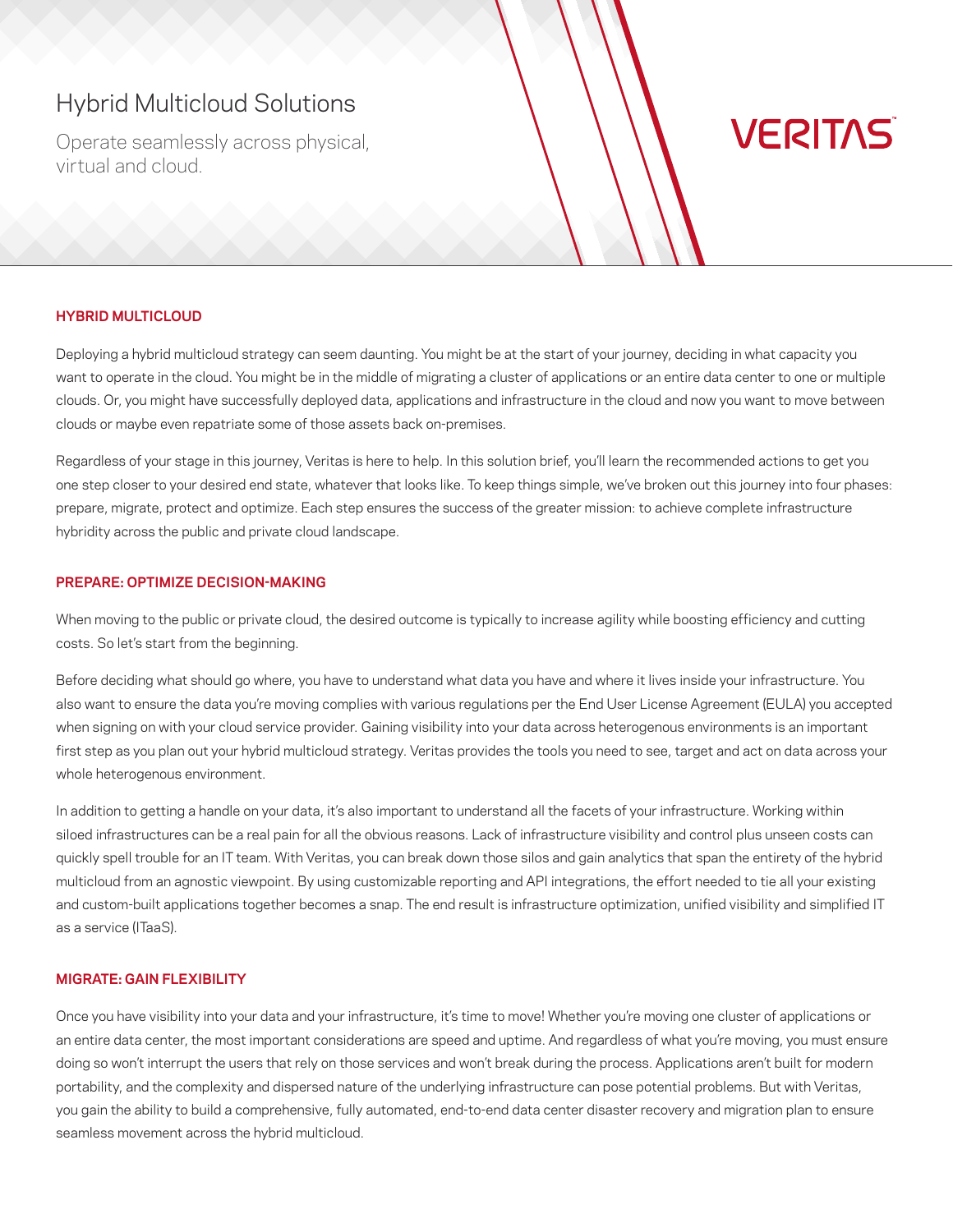# Hybrid Multicloud Solutions

Operate seamlessly across physical, virtual and cloud.

# **VERITAS**

# **HYBRID MULTICLOUD**

Deploying a hybrid multicloud strategy can seem daunting. You might be at the start of your journey, deciding in what capacity you want to operate in the cloud. You might be in the middle of migrating a cluster of applications or an entire data center to one or multiple clouds. Or, you might have successfully deployed data, applications and infrastructure in the cloud and now you want to move between clouds or maybe even repatriate some of those assets back on-premises.

Regardless of your stage in this journey, Veritas is here to help. In this solution brief, you'll learn the recommended actions to get you one step closer to your desired end state, whatever that looks like. To keep things simple, we've broken out this journey into four phases: prepare, migrate, protect and optimize. Each step ensures the success of the greater mission: to achieve complete infrastructure hybridity across the public and private cloud landscape.

# **PREPARE: OPTIMIZE DECISION-MAKING**

When moving to the public or private cloud, the desired outcome is typically to increase agility while boosting efficiency and cutting costs. So let's start from the beginning.

Before deciding what should go where, you have to understand what data you have and where it lives inside your infrastructure. You also want to ensure the data you're moving complies with various regulations per the End User License Agreement (EULA) you accepted when signing on with your cloud service provider. Gaining visibility into your data across heterogenous environments is an important first step as you plan out your hybrid multicloud strategy. Veritas provides the tools you need to see, target and act on data across your whole heterogenous environment.

In addition to getting a handle on your data, it's also important to understand all the facets of your infrastructure. Working within siloed infrastructures can be a real pain for all the obvious reasons. Lack of infrastructure visibility and control plus unseen costs can quickly spell trouble for an IT team. With Veritas, you can break down those silos and gain analytics that span the entirety of the hybrid multicloud from an agnostic viewpoint. By using customizable reporting and API integrations, the effort needed to tie all your existing and custom-built applications together becomes a snap. The end result is infrastructure optimization, unified visibility and simplified IT as a service (ITaaS).

#### **MIGRATE: GAIN FLEXIBILITY**

Once you have visibility into your data and your infrastructure, it's time to move! Whether you're moving one cluster of applications or an entire data center, the most important considerations are speed and uptime. And regardless of what you're moving, you must ensure doing so won't interrupt the users that rely on those services and won't break during the process. Applications aren't built for modern portability, and the complexity and dispersed nature of the underlying infrastructure can pose potential problems. But with Veritas, you gain the ability to build a comprehensive, fully automated, end-to-end data center disaster recovery and migration plan to ensure seamless movement across the hybrid multicloud.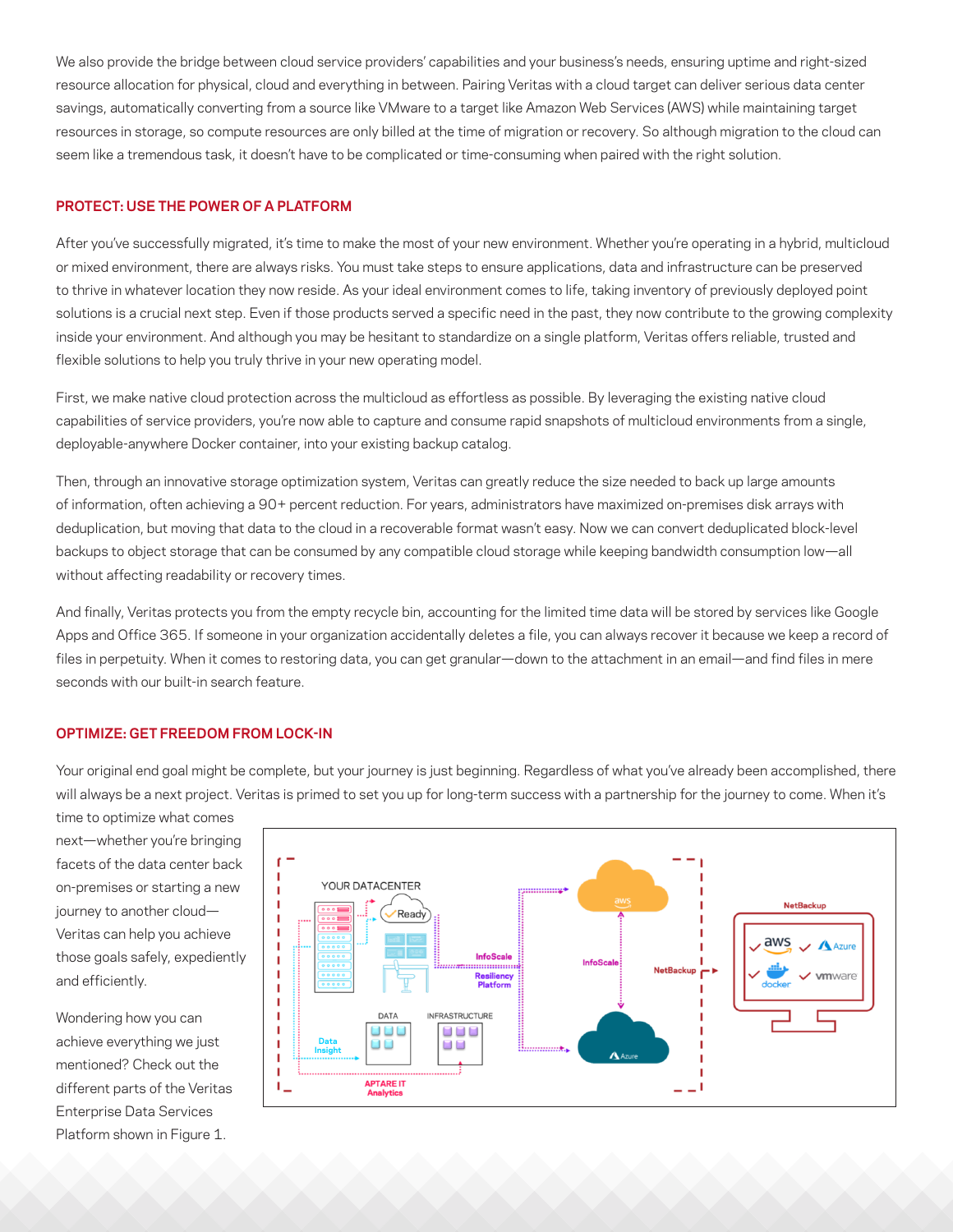We also provide the bridge between cloud service providers' capabilities and your business's needs, ensuring uptime and right-sized resource allocation for physical, cloud and everything in between. Pairing Veritas with a cloud target can deliver serious data center savings, automatically converting from a source like VMware to a target like Amazon Web Services (AWS) while maintaining target resources in storage, so compute resources are only billed at the time of migration or recovery. So although migration to the cloud can seem like a tremendous task, it doesn't have to be complicated or time-consuming when paired with the right solution.

# **PROTECT: USE THE POWER OF A PLATFORM**

After you've successfully migrated, it's time to make the most of your new environment. Whether you're operating in a hybrid, multicloud or mixed environment, there are always risks. You must take steps to ensure applications, data and infrastructure can be preserved to thrive in whatever location they now reside. As your ideal environment comes to life, taking inventory of previously deployed point solutions is a crucial next step. Even if those products served a specific need in the past, they now contribute to the growing complexity inside your environment. And although you may be hesitant to standardize on a single platform, Veritas offers reliable, trusted and flexible solutions to help you truly thrive in your new operating model.

First, we make native cloud protection across the multicloud as effortless as possible. By leveraging the existing native cloud capabilities of service providers, you're now able to capture and consume rapid snapshots of multicloud environments from a single, deployable-anywhere Docker container, into your existing backup catalog.

Then, through an innovative storage optimization system, Veritas can greatly reduce the size needed to back up large amounts of information, often achieving a 90+ percent reduction. For years, administrators have maximized on-premises disk arrays with deduplication, but moving that data to the cloud in a recoverable format wasn't easy. Now we can convert deduplicated block-level backups to object storage that can be consumed by any compatible cloud storage while keeping bandwidth consumption low—all without affecting readability or recovery times.

And finally, Veritas protects you from the empty recycle bin, accounting for the limited time data will be stored by services like Google Apps and Office 365. If someone in your organization accidentally deletes a file, you can always recover it because we keep a record of files in perpetuity. When it comes to restoring data, you can get granular—down to the attachment in an email—and find files in mere seconds with our built-in search feature.

## **OPTIMIZE: GET FREEDOM FROM LOCK-IN**

Your original end goal might be complete, but your journey is just beginning. Regardless of what you've already been accomplished, there will always be a next project. Veritas is primed to set you up for long-term success with a partnership for the journey to come. When it's

time to optimize what comes next—whether you're bringing facets of the data center back on-premises or starting a new journey to another cloud— Veritas can help you achieve those goals safely, expediently and efficiently.

Wondering how you can achieve everything we just mentioned? Check out the different parts of the Veritas Enterprise Data Services Platform shown in Figure 1.